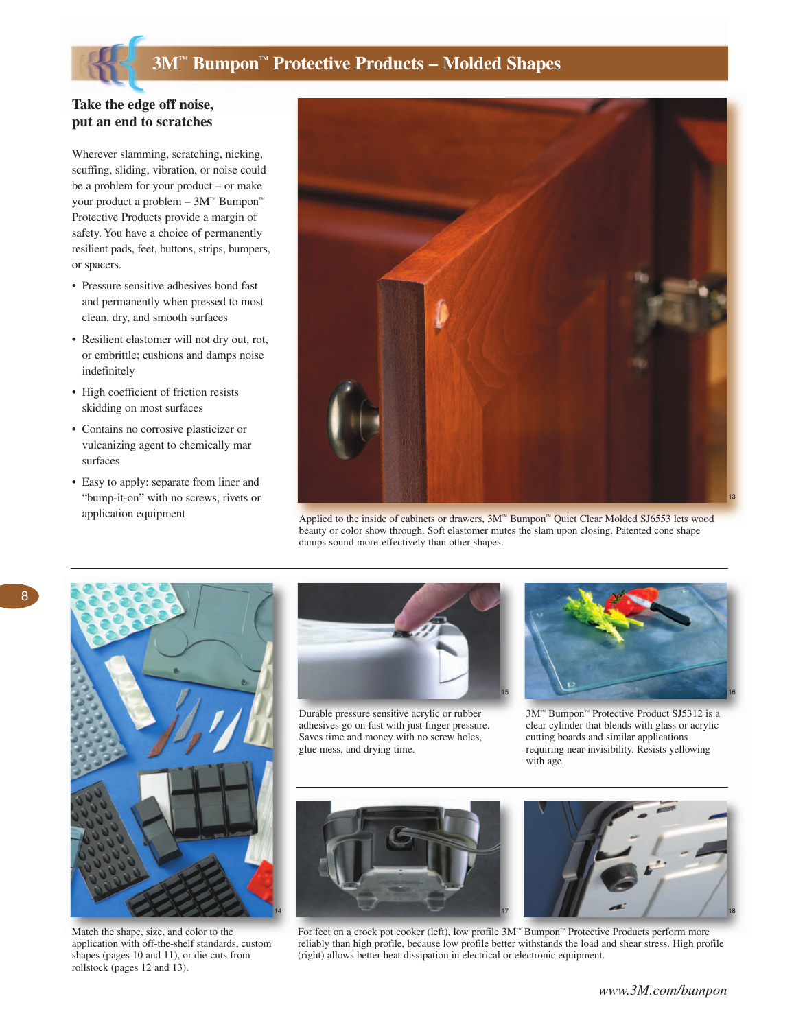# **3M™ Bumpon™ Protective Products – Molded Shapes**

### **Take the edge off noise, put an end to scratches**

Wherever slamming, scratching, nicking, scuffing, sliding, vibration, or noise could be a problem for your product – or make your product a problem – 3M™ Bumpon™ Protective Products provide a margin of safety. You have a choice of permanently resilient pads, feet, buttons, strips, bumpers, or spacers.

- Pressure sensitive adhesives bond fast and permanently when pressed to most clean, dry, and smooth surfaces
- Resilient elastomer will not dry out, rot, or embrittle; cushions and damps noise indefinitely
- High coefficient of friction resists skidding on most surfaces
- Contains no corrosive plasticizer or vulcanizing agent to chemically mar surfaces
- Easy to apply: separate from liner and "bump-it-on" with no screws, rivets or application equipment



Applied to the inside of cabinets or drawers, 3M™ Bumpon™ Quiet Clear Molded SJ6553 lets wood beauty or color show through. Soft elastomer mutes the slam upon closing. Patented cone shape damps sound more effectively than other shapes.



Match the shape, size, and color to the application with off-the-shelf standards, custom shapes (pages 10 and 11), or die-cuts from rollstock (pages 12 and 13).



Durable pressure sensitive acrylic or rubber adhesives go on fast with just finger pressure. Saves time and money with no screw holes, glue mess, and drying time.



3M™ Bumpon™ Protective Product SJ5312 is a clear cylinder that blends with glass or acrylic cutting boards and similar applications requiring near invisibility. Resists yellowing with age.



For feet on a crock pot cooker (left), low profile 3M™ Bumpon™ Protective Products perform more reliably than high profile, because low profile better withstands the load and shear stress. High profile (right) allows better heat dissipation in electrical or electronic equipment.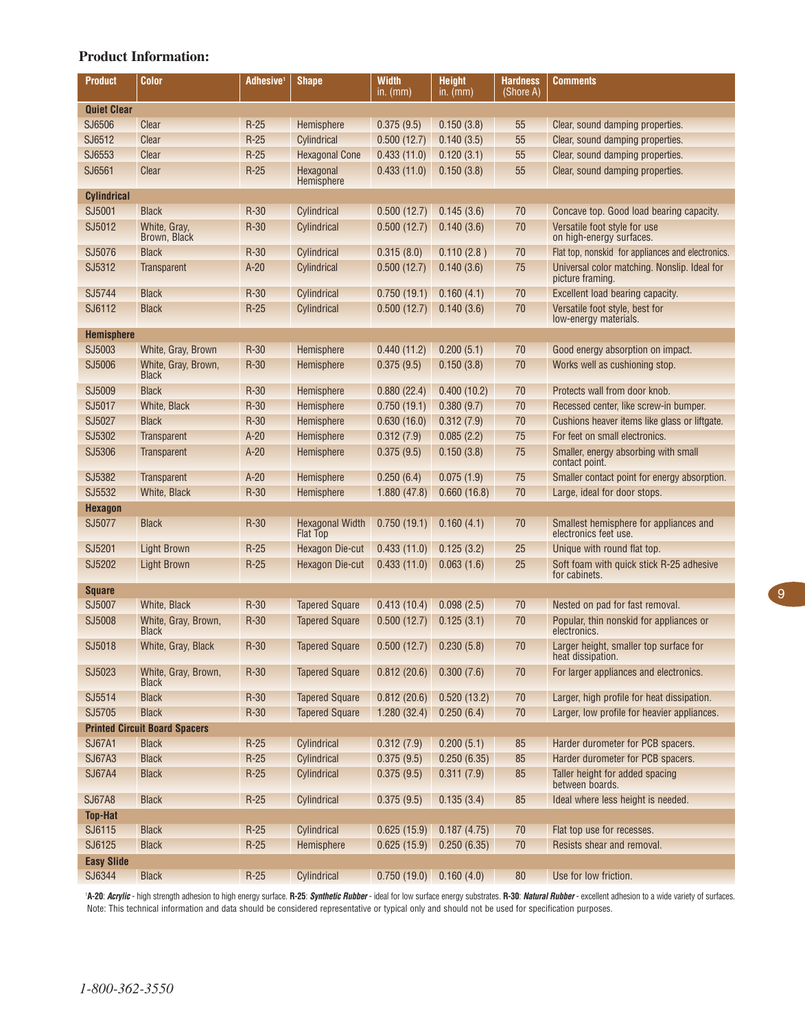## **Product Information:**

| <b>Product</b>                       | Color                               | Adhesive <sup>1</sup> | <b>Shape</b>                              | Width<br>in. (mm)         | <b>Height</b><br>in. (mm) | <b>Hardness</b><br>(Shore A) | <b>Comments</b>                                                  |  |  |
|--------------------------------------|-------------------------------------|-----------------------|-------------------------------------------|---------------------------|---------------------------|------------------------------|------------------------------------------------------------------|--|--|
| <b>Quiet Clear</b>                   |                                     |                       |                                           |                           |                           |                              |                                                                  |  |  |
| SJ6506                               | Clear                               | $R-25$                | Hemisphere                                | 0.375(9.5)                | 0.150(3.8)                | 55                           | Clear, sound damping properties.                                 |  |  |
| SJ6512                               | Clear                               | $R-25$                | Cylindrical                               | 0.500(12.7)               | 0.140(3.5)                | 55                           | Clear, sound damping properties.                                 |  |  |
| SJ6553                               | Clear                               | $R-25$                | <b>Hexagonal Cone</b>                     | 0.433(11.0)               | 0.120(3.1)                | 55                           | Clear, sound damping properties.                                 |  |  |
| SJ6561                               | Clear                               | $R-25$                | Hexagonal                                 | 0.433(11.0)               | 0.150(3.8)                | 55                           | Clear, sound damping properties.                                 |  |  |
|                                      |                                     |                       | Hemisphere                                |                           |                           |                              |                                                                  |  |  |
| <b>Cylindrical</b>                   |                                     |                       |                                           |                           |                           |                              |                                                                  |  |  |
| SJ5001                               | <b>Black</b>                        | $R-30$                | Cylindrical                               | 0.500(12.7)               | 0.145(3.6)                | 70                           | Concave top. Good load bearing capacity.                         |  |  |
| SJ5012                               | White, Gray,<br>Brown, Black        | $R-30$                | Cylindrical                               | 0.500(12.7)               | 0.140(3.6)                | 70                           | Versatile foot style for use<br>on high-energy surfaces.         |  |  |
| SJ5076                               | <b>Black</b>                        | $R-30$                | Cylindrical                               | 0.315(8.0)                | 0.110(2.8)                | 70                           | Flat top, nonskid for appliances and electronics.                |  |  |
| SJ5312                               | <b>Transparent</b>                  | $A-20$                | Cylindrical                               | 0.500(12.7)               | 0.140(3.6)                | 75                           | Universal color matching. Nonslip. Ideal for<br>picture framing. |  |  |
| SJ5744                               | <b>Black</b>                        | $R-30$                | Cylindrical                               | 0.750(19.1)               | 0.160(4.1)                | 70                           | Excellent load bearing capacity.                                 |  |  |
| SJ6112                               | <b>Black</b>                        | $R-25$                | Cylindrical                               | 0.500(12.7)               | 0.140(3.6)                | 70                           | Versatile foot style, best for                                   |  |  |
|                                      |                                     |                       |                                           |                           |                           |                              | low-energy materials.                                            |  |  |
| <b>Hemisphere</b>                    |                                     |                       |                                           |                           |                           |                              |                                                                  |  |  |
| SJ5003                               | White, Gray, Brown                  | $R-30$                | Hemisphere                                | 0.440(11.2)               | 0.200(5.1)                | 70                           | Good energy absorption on impact.                                |  |  |
| SJ5006                               | White, Gray, Brown,<br><b>Black</b> | $R-30$                | Hemisphere                                | 0.375(9.5)                | 0.150(3.8)                | 70                           | Works well as cushioning stop.                                   |  |  |
| SJ5009                               | <b>Black</b>                        | $R-30$                | Hemisphere                                | 0.880(22.4)               | 0.400(10.2)               | 70                           | Protects wall from door knob.                                    |  |  |
| SJ5017                               | White, Black                        | $R-30$                | Hemisphere                                | 0.750(19.1)               | 0.380(9.7)                | 70                           | Recessed center, like screw-in bumper.                           |  |  |
| SJ5027                               | <b>Black</b>                        | $R-30$                | Hemisphere                                | 0.630(16.0)               | 0.312(7.9)                | 70                           | Cushions heaver items like glass or liftgate.                    |  |  |
| SJ5302                               | Transparent                         | $A-20$                | Hemisphere                                | 0.312(7.9)                | 0.085(2.2)                | 75                           | For feet on small electronics.                                   |  |  |
| SJ5306                               | Transparent                         | $A-20$                | Hemisphere                                | 0.375(9.5)                | 0.150(3.8)                | 75                           | Smaller, energy absorbing with small<br>contact point.           |  |  |
| SJ5382                               | Transparent                         | $A-20$                | Hemisphere                                | 0.250(6.4)                | 0.075(1.9)                | 75                           | Smaller contact point for energy absorption.                     |  |  |
| SJ5532                               | White, Black                        | $R-30$                | Hemisphere                                | 1.880(47.8)               | 0.660(16.8)               | 70                           | Large, ideal for door stops.                                     |  |  |
| <b>Hexagon</b>                       |                                     |                       |                                           |                           |                           |                              |                                                                  |  |  |
| SJ5077                               | <b>Black</b>                        | $R-30$                | <b>Hexagonal Width</b><br><b>Flat Top</b> | 0.750(19.1)               | 0.160(4.1)                | 70                           | Smallest hemisphere for appliances and<br>electronics feet use.  |  |  |
| SJ5201                               | <b>Light Brown</b>                  | $R-25$                | Hexagon Die-cut                           | 0.433(11.0)               | 0.125(3.2)                | 25                           | Unique with round flat top.                                      |  |  |
| SJ5202                               | <b>Light Brown</b>                  | $R-25$                | Hexagon Die-cut                           | 0.433(11.0)               | 0.063(1.6)                | 25                           | Soft foam with quick stick R-25 adhesive<br>for cabinets.        |  |  |
| <b>Square</b>                        |                                     |                       |                                           |                           |                           |                              |                                                                  |  |  |
| SJ5007                               | White, Black                        | $R-30$                | <b>Tapered Square</b>                     | 0.413(10.4)               | 0.098(2.5)                | 70                           | Nested on pad for fast removal.                                  |  |  |
| SJ5008                               | White, Gray, Brown,<br><b>Black</b> | $R-30$                | <b>Tapered Square</b>                     | 0.500(12.7)               | 0.125(3.1)                | 70                           | Popular, thin nonskid for appliances or<br>electronics.          |  |  |
| SJ5018                               | White, Gray, Black                  | $R-30$                | <b>Tapered Square</b>                     | 0.500(12.7)               | 0.230(5.8)                | 70                           | Larger height, smaller top surface for<br>heat dissipation.      |  |  |
| SJ5023                               | White, Gray, Brown,<br><b>Black</b> | $R-30$                | <b>Tapered Square</b>                     | 0.812(20.6)               | 0.300(7.6)                | 70                           | For larger appliances and electronics.                           |  |  |
| SJ5514                               | <b>Black</b>                        | $R-30$                | <b>Tapered Square</b>                     | 0.812(20.6)               | 0.520(13.2)               | 70                           | Larger, high profile for heat dissipation.                       |  |  |
| SJ5705                               | <b>Black</b>                        | $R-30$                | <b>Tapered Square</b>                     | 1.280(32.4)               | 0.250(6.4)                | 70                           | Larger, low profile for heavier appliances.                      |  |  |
| <b>Printed Circuit Board Spacers</b> |                                     |                       |                                           |                           |                           |                              |                                                                  |  |  |
| <b>SJ67A1</b>                        | <b>Black</b>                        | $R-25$                | Cylindrical                               | 0.312(7.9)                | 0.200(5.1)                | 85                           | Harder durometer for PCB spacers.                                |  |  |
| <b>SJ67A3</b>                        | <b>Black</b>                        | $R-25$                | Cylindrical                               | 0.375(9.5)                | 0.250(6.35)               | 85                           | Harder durometer for PCB spacers.                                |  |  |
| <b>SJ67A4</b>                        | <b>Black</b>                        | $R-25$                | Cylindrical                               | 0.375(9.5)                | 0.311(7.9)                | 85                           | Taller height for added spacing<br>between boards.               |  |  |
| <b>SJ67A8</b>                        | <b>Black</b>                        | $R-25$                | Cylindrical                               | 0.375(9.5)                | 0.135(3.4)                | 85                           | Ideal where less height is needed.                               |  |  |
| <b>Top-Hat</b>                       |                                     |                       |                                           |                           |                           |                              |                                                                  |  |  |
| SJ6115                               | <b>Black</b>                        | $R-25$                | Cylindrical                               | 0.625(15.9)               | 0.187(4.75)               | 70                           | Flat top use for recesses.                                       |  |  |
| SJ6125                               | <b>Black</b>                        | $R-25$                | Hemisphere                                | 0.625(15.9)               | 0.250(6.35)               | 70                           | Resists shear and removal.                                       |  |  |
| <b>Easy Slide</b>                    |                                     |                       |                                           |                           |                           |                              |                                                                  |  |  |
| SJ6344                               | <b>Black</b>                        | $R-25$                | Cylindrical                               | $0.750(19.0)$ 0.160 (4.0) |                           | 80                           | Use for low friction.                                            |  |  |

Note: This technical information and data should be considered representative or typical only and should not be used for specification purposes. '**A-20:** *Acrylic* **-** high strength adhesion to high energy surface. **R-25:** *Synthetic Rubber* **-** ideal for low surface energy substrates. **R-30:** *Natural Rubber* **-** excellent adhesion to a wide variety of surfaces.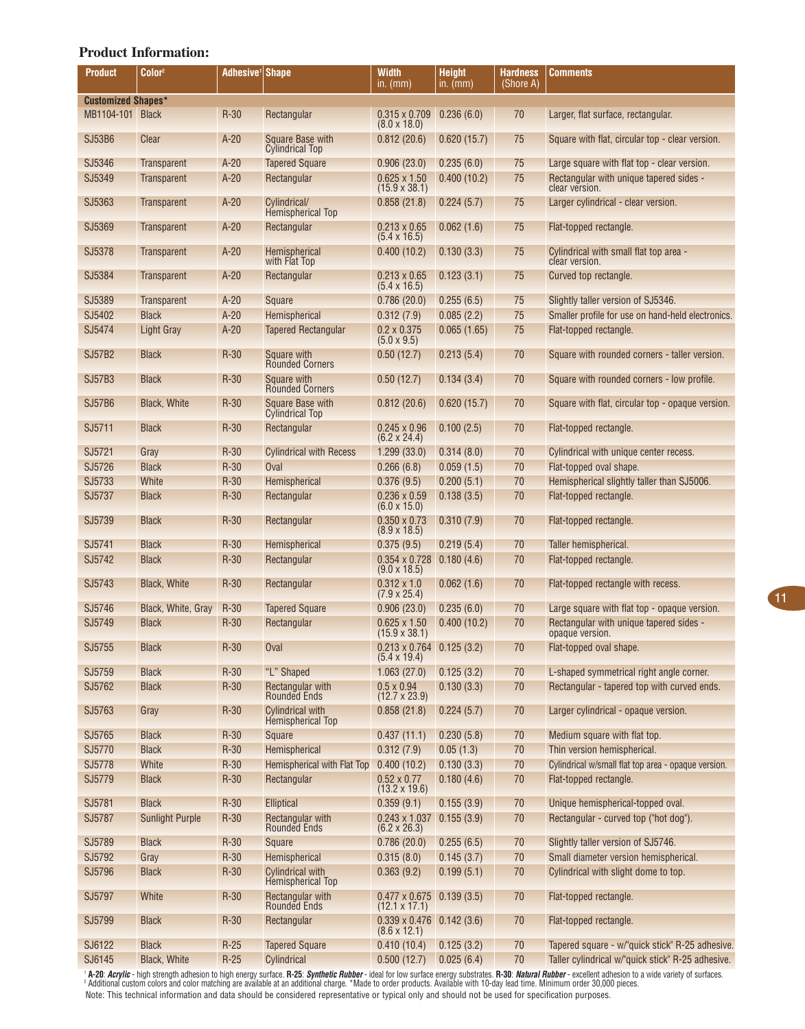#### **Product Information:**

| Product                   | Color <sup>2</sup>     | Adhesive <sup>1</sup> | <b>Shape</b>                                        | Width<br>in. (mm)                                        | <b>Height</b><br>in. $(mm)$ | <b>Hardness</b><br>(Shore A) | Comments                                                   |  |
|---------------------------|------------------------|-----------------------|-----------------------------------------------------|----------------------------------------------------------|-----------------------------|------------------------------|------------------------------------------------------------|--|
| <b>Customized Shapes*</b> |                        |                       |                                                     |                                                          |                             |                              |                                                            |  |
| MB1104-101 Black          |                        | $R-30$                | Rectangular                                         | $0.315 \times 0.709$<br>$(8.0 \times 18.0)$              | 0.236(6.0)                  | 70                           | Larger, flat surface, rectangular.                         |  |
| <b>SJ53B6</b>             | Clear                  | $A-20$                | Square Base with<br><b>Cylindrical Top</b>          | 0.812(20.6)                                              | 0.620(15.7)                 | 75                           | Square with flat, circular top - clear version.            |  |
| SJ5346                    | Transparent            | $A-20$                | <b>Tapered Square</b>                               | 0.906(23.0)                                              | 0.235(6.0)                  | 75                           | Large square with flat top - clear version.                |  |
| SJ5349                    | Transparent            | $A-20$                | Rectangular                                         | $0.625 \times 1.50$<br>$(15.9 \times 38.1)$              | 0.400(10.2)                 | 75                           | Rectangular with unique tapered sides -<br>clear version.  |  |
| SJ5363                    | Transparent            | $A-20$                | Cylindrical/<br>Hemispherical Top                   | 0.858(21.8)                                              | 0.224(5.7)                  | 75                           | Larger cylindrical - clear version.                        |  |
| SJ5369                    | <b>Transparent</b>     | $A-20$                | Rectangular                                         | $0.213 \times 0.65$<br>$(5.4 \times 16.5)$               | 0.062(1.6)                  | 75                           | Flat-topped rectangle.                                     |  |
| SJ5378                    | Transparent            | $A-20$                | <b>Hemispherical</b><br>with Flat Top               | 0.400(10.2)                                              | 0.130(3.3)                  | 75                           | Cylindrical with small flat top area -<br>clear version.   |  |
| SJ5384                    | <b>Transparent</b>     | $A-20$                | Rectangular                                         | $0.213 \times 0.65$<br>$(5.4 \times 16.5)$               | 0.123(3.1)                  | 75                           | Curved top rectangle.                                      |  |
| SJ5389                    | Transparent            | $A-20$                | Square                                              | 0.786(20.0)                                              | 0.255(6.5)                  | 75                           | Slightly taller version of SJ5346.                         |  |
| SJ5402                    | <b>Black</b>           | $A-20$                | Hemispherical                                       | 0.312(7.9)                                               | 0.085(2.2)                  | 75                           | Smaller profile for use on hand-held electronics.          |  |
| SJ5474                    | <b>Light Gray</b>      | $A-20$                | <b>Tapered Rectangular</b>                          | $0.2 \times 0.375$                                       | 0.065(1.65)                 | 75                           | Flat-topped rectangle.                                     |  |
| <b>SJ57B2</b>             | <b>Black</b>           | $R-30$                | Square with                                         | $(5.0 \times 9.5)$<br>0.50(12.7)                         | 0.213(5.4)                  | 70                           | Square with rounded corners - taller version.              |  |
| <b>SJ57B3</b>             | <b>Black</b>           | $R-30$                | <b>Rounded Corners</b>                              |                                                          |                             | 70                           |                                                            |  |
|                           |                        |                       | Square with<br><b>Rounded Corners</b>               | 0.50(12.7)                                               | 0.134(3.4)                  |                              | Square with rounded corners - low profile.                 |  |
| <b>SJ57B6</b>             | <b>Black, White</b>    | $R-30$                | Square Base with<br><b>Cylindrical Top</b>          | 0.812(20.6)                                              | 0.620(15.7)                 | 70                           | Square with flat, circular top - opaque version.           |  |
| SJ5711                    | <b>Black</b>           | $R-30$                | Rectangular                                         | $0.245 \times 0.96$<br>$(6.2 \times 24.4)$               | 0.100(2.5)                  | 70                           | Flat-topped rectangle.                                     |  |
| SJ5721                    | Gray                   | $R-30$                | <b>Cylindrical with Recess</b>                      | 1.299(33.0)                                              | 0.314(8.0)                  | 70                           | Cylindrical with unique center recess.                     |  |
| SJ5726                    | <b>Black</b>           | $R-30$                | Oval                                                | 0.266(6.8)                                               | 0.059(1.5)                  | 70                           | Flat-topped oval shape.                                    |  |
| SJ5733                    | White                  | $R-30$                | Hemispherical                                       | 0.376(9.5)                                               | 0.200(5.1)                  | 70                           | Hemispherical slightly taller than SJ5006.                 |  |
| SJ5737                    | <b>Black</b>           | $R-30$                | Rectangular                                         | $0.236 \times 0.59$<br>$(6.0 \times 15.0)$               | 0.138(3.5)                  | 70                           | Flat-topped rectangle.                                     |  |
| SJ5739                    | <b>Black</b>           | $R-30$                | Rectangular                                         | $0.350 \times 0.73$<br>$(8.9 \times 18.5)$               | 0.310(7.9)                  | 70                           | Flat-topped rectangle.                                     |  |
| SJ5741                    | <b>Black</b>           | $R-30$                | Hemispherical                                       | 0.375(9.5)                                               | 0.219(5.4)                  | 70                           | Taller hemispherical.                                      |  |
| SJ5742                    | <b>Black</b>           | $R-30$                | Rectangular                                         | $0.354 \times 0.728$ 0.180 (4.6)<br>$(9.0 \times 18.5)$  |                             | 70                           | Flat-topped rectangle.                                     |  |
| SJ5743                    | <b>Black, White</b>    | $R-30$                | Rectangular                                         | $0.312 \times 1.0$<br>$(7.9 \times 25.4)$                | 0.062(1.6)                  | 70                           | Flat-topped rectangle with recess.                         |  |
| SJ5746                    | Black, White, Gray     | $R-30$                | <b>Tapered Square</b>                               | 0.906(23.0)                                              | 0.235(6.0)                  | 70                           | Large square with flat top - opaque version.               |  |
| SJ5749                    | <b>Black</b>           | $R-30$                | Rectangular                                         | $0.625 \times 1.50$<br>$(15.9 \times 38.1)$              | 0.400(10.2)                 | 70                           | Rectangular with unique tapered sides -<br>opaque version. |  |
| SJ5755                    | <b>Black</b>           | $R-30$                | <b>Oval</b>                                         | $0.213 \times 0.764$<br>$(5.4 \times 19.4)$              | 0.125(3.2)                  | 70                           | Flat-topped oval shape.                                    |  |
| SJ5759                    | <b>Black</b>           | $R-30$                | "L" Shaped                                          | 1.063(27.0)                                              | 0.125(3.2)                  | 70                           | L-shaped symmetrical right angle corner.                   |  |
| SJ5762                    | <b>Black</b>           | $R-30$                | Rectangular with<br>Rounded Ends                    | $0.5 \times 0.94$<br>$(12.7 \times 23.9)$                | 0.130(3.3)                  | 70                           | Rectangular - tapered top with curved ends.                |  |
| SJ5763                    | Gray                   | $R-30$                | <b>Cylindrical with</b><br><b>Hemispherical Top</b> | 0.858(21.8)                                              | 0.224(5.7)                  | 70                           | Larger cylindrical - opaque version.                       |  |
| SJ5765                    | <b>Black</b>           | $R-30$                | Square                                              | 0.437(11.1)                                              | 0.230(5.8)                  | 70                           | Medium square with flat top.                               |  |
| SJ5770                    | <b>Black</b>           | $R-30$                | Hemispherical                                       | 0.312(7.9)                                               | 0.05(1.3)                   | 70                           | Thin version hemispherical.                                |  |
| SJ5778                    | White                  | $R-30$                | Hemispherical with Flat Top                         | 0.400(10.2)                                              | 0.130(3.3)                  | 70                           | Cylindrical w/small flat top area - opaque version.        |  |
| SJ5779                    | <b>Black</b>           | $R-30$                | Rectangular                                         | $0.52 \times 0.77$<br>$(13.2 \times 19.6)$               | 0.180(4.6)                  | 70                           | Flat-topped rectangle.                                     |  |
| SJ5781                    | <b>Black</b>           | $R-30$                | <b>Elliptical</b>                                   | 0.359(9.1)                                               | 0.155(3.9)                  | 70                           | Unique hemispherical-topped oval.                          |  |
| SJ5787                    | <b>Sunlight Purple</b> | $R-30$                | Rectangular with<br><b>Rounded Ends</b>             | $0.243 \times 1.037$<br>$(6.2 \times 26.3)$              | 0.155(3.9)                  | 70                           | Rectangular - curved top ("hot dog").                      |  |
| SJ5789                    | <b>Black</b>           | $R-30$                | Square                                              | 0.786(20.0)                                              | 0.255(6.5)                  | 70                           | Slightly taller version of SJ5746.                         |  |
| SJ5792                    | Gray                   | $R-30$                | Hemispherical                                       | 0.315(8.0)                                               | 0.145(3.7)                  | 70                           | Small diameter version hemispherical.                      |  |
| SJ5796                    | <b>Black</b>           | $R-30$                | Cylindrical with<br>Hemispherical Top               | 0.363(9.2)                                               | 0.199(5.1)                  | 70                           | Cylindrical with slight dome to top.                       |  |
| SJ5797                    | White                  | $R-30$                | Rectangular with<br>Rounded Ends                    | $0.477 \times 0.675$ 0.139 (3.5)<br>$(12.1 \times 17.1)$ |                             | 70                           | Flat-topped rectangle.                                     |  |
| SJ5799                    | <b>Black</b>           | $R-30$                | Rectangular                                         | $0.339 \times 0.476$ 0.142 (3.6)<br>$(8.6 \times 12.1)$  |                             | 70                           | Flat-topped rectangle.                                     |  |
| SJ6122                    | <b>Black</b>           | $R-25$                | <b>Tapered Square</b>                               | 0.410(10.4)                                              | 0.125(3.2)                  | 70                           | Tapered square - w/"quick stick" R-25 adhesive.            |  |
| SJ6145                    | Black, White           | $R-25$                | Cylindrical                                         | 0.500(12.7)                                              | 0.025(6.4)                  | 70                           | Taller cylindrical w/"quick stick" R-25 adhesive.          |  |

Note: This technical information and data should be considered representative or typical only and should not be used for specification purposes. ' **A-20:** *Acrylic* - high strength adhesion to high energy surface. **R-25:** *Synthetic Rubber* - ideal for low surface energy substrates. **R-30:** *Natural Rubber* - excellent adhesion to a wide variety of surfaces.<br><sup>2</sup> Ad